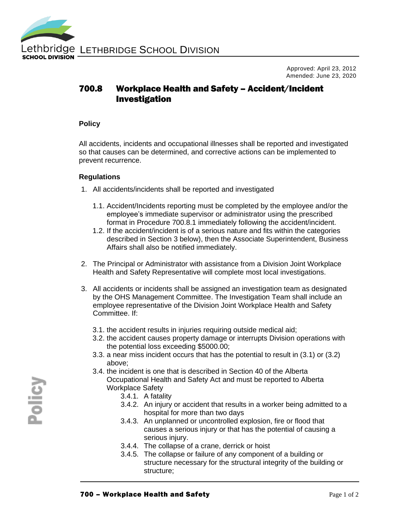

Approved: April 23, 2012 Amended: June 23, 2020

## 700.8 Workplace Health and Safety – Accident/Incident Investigation

## **Policy**

All accidents, incidents and occupational illnesses shall be reported and investigated so that causes can be determined, and corrective actions can be implemented to prevent recurrence.

## **Regulations**

- 1. All accidents/incidents shall be reported and investigated
	- 1.1. Accident/Incidents reporting must be completed by the employee and/or the employee's immediate supervisor or administrator using the prescribed format in Procedure 700.8.1 immediately following the accident/incident.
	- 1.2. If the accident/incident is of a serious nature and fits within the categories described in Section 3 below), then the Associate Superintendent, Business Affairs shall also be notified immediately.
- 2. The Principal or Administrator with assistance from a Division Joint Workplace Health and Safety Representative will complete most local investigations.
- 3. All accidents or incidents shall be assigned an investigation team as designated by the OHS Management Committee. The Investigation Team shall include an employee representative of the Division Joint Workplace Health and Safety Committee. If:
	- 3.1. the accident results in injuries requiring outside medical aid;
	- 3.2. the accident causes property damage or interrupts Division operations with the potential loss exceeding \$5000.00;
	- 3.3. a near miss incident occurs that has the potential to result in (3.1) or (3.2) above;
	- 3.4. the incident is one that is described in Section 40 of the Alberta Occupational Health and Safety Act and must be reported to Alberta Workplace Safety
		- 3.4.1. A fatality
		- 3.4.2. An injury or accident that results in a worker being admitted to a hospital for more than two days
		- 3.4.3. An unplanned or uncontrolled explosion, fire or flood that causes a serious injury or that has the potential of causing a serious injury.
		- 3.4.4. The collapse of a crane, derrick or hoist
		- 3.4.5. The collapse or failure of any component of a building or structure necessary for the structural integrity of the building or structure;